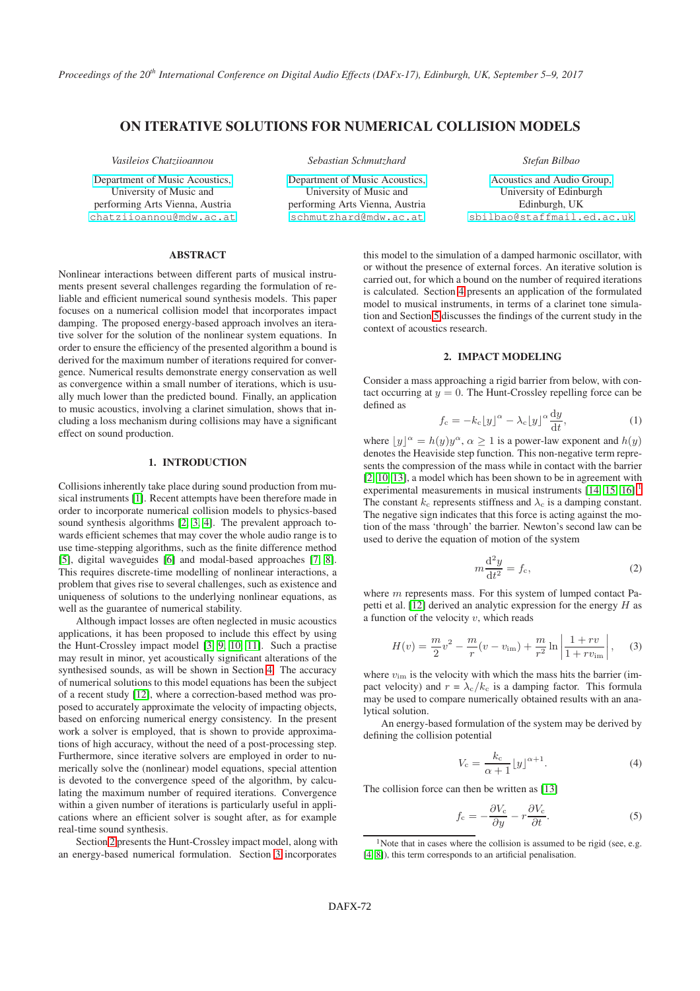# ON ITERATIVE SOLUTIONS FOR NUMERICAL COLLISION MODELS

*Vasileios Chatziioannou*

[Department of Music Acoustics,](http://iwk.mdw.ac.at/) University of Music and performing Arts Vienna, Austria [chatziioannou@mdw.ac.at](mailto:chatziioannou@mdw.ac.at) *Sebastian Schmutzhard*

[Department of Music Acoustics,](http://iwk.mdw.ac.at/) University of Music and performing Arts Vienna, Austria [schmutzhard@mdw.ac.at](mailto:schmutzhard@mdw.ac.at)

*Stefan Bilbao*

[Acoustics and Audio Group,](http://www.acoustics.ed.ac.uk) University of Edinburgh Edinburgh, UK [sbilbao@staffmail.ed.ac.uk](mailto:sbilbao@staffmail.ed.ac.uk)

## ABSTRACT

Nonlinear interactions between different parts of musical instruments present several challenges regarding the formulation of reliable and efficient numerical sound synthesis models. This paper focuses on a numerical collision model that incorporates impact damping. The proposed energy-based approach involves an iterative solver for the solution of the nonlinear system equations. In order to ensure the efficiency of the presented algorithm a bound is derived for the maximum number of iterations required for convergence. Numerical results demonstrate energy conservation as well as convergence within a small number of iterations, which is usually much lower than the predicted bound. Finally, an application to music acoustics, involving a clarinet simulation, shows that including a loss mechanism during collisions may have a significant effect on sound production.

## 1. INTRODUCTION

Collisions inherently take place during sound production from musical instruments [\[1\]](#page-6-0). Recent attempts have been therefore made in order to incorporate numerical collision models to physics-based sound synthesis algorithms [\[2,](#page-6-1) [3,](#page-6-2) [4\]](#page-6-3). The prevalent approach towards efficient schemes that may cover the whole audio range is to use time-stepping algorithms, such as the finite difference method [\[5\]](#page-6-4), digital waveguides [\[6\]](#page-6-5) and modal-based approaches [\[7,](#page-6-6) [8\]](#page-6-7). This requires discrete-time modelling of nonlinear interactions, a problem that gives rise to several challenges, such as existence and uniqueness of solutions to the underlying nonlinear equations, as well as the guarantee of numerical stability.

Although impact losses are often neglected in music acoustics applications, it has been proposed to include this effect by using the Hunt-Crossley impact model [\[3,](#page-6-2) [9,](#page-6-8) [10,](#page-6-9) [11\]](#page-6-10). Such a practise may result in minor, yet acoustically significant alterations of the synthesised sounds, as will be shown in Section [4.](#page-4-0) The accuracy of numerical solutions to this model equations has been the subject of a recent study [\[12\]](#page-6-11), where a correction-based method was proposed to accurately approximate the velocity of impacting objects, based on enforcing numerical energy consistency. In the present work a solver is employed, that is shown to provide approximations of high accuracy, without the need of a post-processing step. Furthermore, since iterative solvers are employed in order to numerically solve the (nonlinear) model equations, special attention is devoted to the convergence speed of the algorithm, by calculating the maximum number of required iterations. Convergence within a given number of iterations is particularly useful in applications where an efficient solver is sought after, as for example real-time sound synthesis.

Section [2](#page-0-0) presents the Hunt-Crossley impact model, along with an energy-based numerical formulation. Section [3](#page-1-0) incorporates this model to the simulation of a damped harmonic oscillator, with or without the presence of external forces. An iterative solution is carried out, for which a bound on the number of required iterations is calculated. Section [4](#page-4-0) presents an application of the formulated model to musical instruments, in terms of a clarinet tone simulation and Section [5](#page-5-0) discusses the findings of the current study in the context of acoustics research.

## 2. IMPACT MODELING

<span id="page-0-0"></span>Consider a mass approaching a rigid barrier from below, with contact occurring at  $y = 0$ . The Hunt-Crossley repelling force can be defined as

<span id="page-0-4"></span>
$$
f_{\rm c} = -k_{\rm c} \left[ y \right]^{\alpha} - \lambda_{\rm c} \left[ y \right]^{\alpha} \frac{\mathrm{d}y}{\mathrm{d}t},\tag{1}
$$

where  $\lfloor y \rfloor^{\alpha} = h(y)y^{\alpha}, \alpha \ge 1$  is a power-law exponent and  $h(y)$ denotes the Heaviside step function. This non-negative term represents the compression of the mass while in contact with the barrier [\[2,](#page-6-1) [10,](#page-6-9) [13\]](#page-6-12), a model which has been shown to be in agreement with experimental measurements in musical instruments [\[14,](#page-6-13) [15,](#page-6-14) [16\]](#page-6-15).<sup>[1](#page-0-1)</sup> The constant  $k_c$  represents stiffness and  $\lambda_c$  is a damping constant. The negative sign indicates that this force is acting against the motion of the mass 'through' the barrier. Newton's second law can be used to derive the equation of motion of the system

<span id="page-0-2"></span>
$$
m\frac{\mathrm{d}^2 y}{\mathrm{d}t^2} = f_c,\tag{2}
$$

where  $m$  represents mass. For this system of lumped contact Pa-petti et al. [\[12\]](#page-6-11) derived an analytic expression for the energy  $H$  as a function of the velocity  $v$ , which reads

<span id="page-0-3"></span>
$$
H(v) = \frac{m}{2}v^2 - \frac{m}{r}(v - v_{\rm im}) + \frac{m}{r^2}\ln\left|\frac{1 + rv}{1 + rv_{\rm im}}\right|, \quad (3)
$$

where  $v_{\text{im}}$  is the velocity with which the mass hits the barrier (impact velocity) and  $r = \lambda_c/k_c$  is a damping factor. This formula may be used to compare numerically obtained results with an analytical solution.

An energy-based formulation of the system may be derived by defining the collision potential

$$
V_{\rm c} = \frac{k_{\rm c}}{\alpha + 1} \lfloor y \rfloor^{\alpha + 1}.
$$
 (4)

The collision force can then be written as [\[13\]](#page-6-12)

$$
f_{\rm c} = -\frac{\partial V_{\rm c}}{\partial y} - r\frac{\partial V_{\rm c}}{\partial t}.\tag{5}
$$

<span id="page-0-1"></span><sup>&</sup>lt;sup>1</sup>Note that in cases where the collision is assumed to be rigid (see, e.g. [\[4,](#page-6-3) [8\]](#page-6-7)), this term corresponds to an artificial penalisation.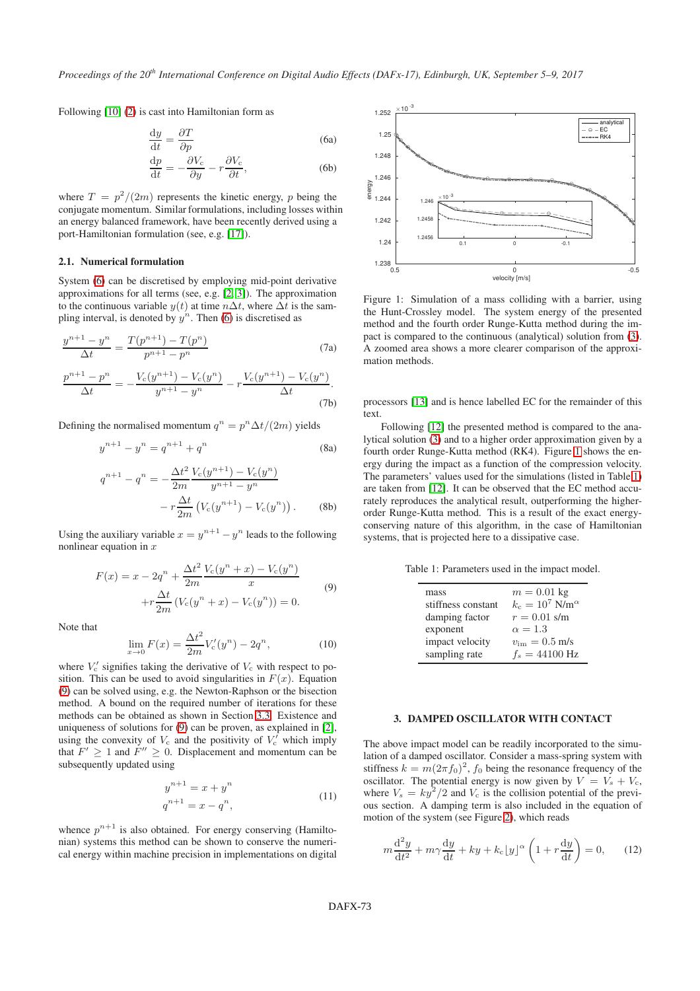Following [\[10\]](#page-6-9) [\(2\)](#page-0-2) is cast into Hamiltonian form as

$$
\frac{dy}{dt} = \frac{\partial T}{\partial p}
$$
(6a)  

$$
\frac{dp}{dt} = -\frac{\partial V_c}{\partial y} - r\frac{\partial V_c}{\partial t},
$$
(6b)

where  $T = p^2/(2m)$  represents the kinetic energy, p being the conjugate momentum. Similar formulations, including losses within an energy balanced framework, have been recently derived using a port-Hamiltonian formulation (see, e.g. [\[17\]](#page-6-16)).

### 2.1. Numerical formulation

System [\(6\)](#page-1-1) can be discretised by employing mid-point derivative approximations for all terms (see, e.g. [\[2,](#page-6-1) [3\]](#page-6-2)). The approximation to the continuous variable  $y(t)$  at time  $n\Delta t$ , where  $\Delta t$  is the sampling interval, is denoted by  $y^n$ . Then [\(6\)](#page-1-1) is discretised as

$$
\frac{y^{n+1} - y^n}{\Delta t} = \frac{T(p^{n+1}) - T(p^n)}{p^{n+1} - p^n}
$$
(7a)

$$
\frac{p^{n+1} - p^n}{\Delta t} = -\frac{V_c(y^{n+1}) - V_c(y^n)}{y^{n+1} - y^n} - r\frac{V_c(y^{n+1}) - V_c(y^n)}{\Delta t}.
$$
\n(7b)

Defining the normalised momentum  $q^n = p^n \Delta t/(2m)$  yields

$$
y^{n+1} - y^n = q^{n+1} + q^n
$$
 (8a)

$$
q^{n+1} - q^n = -\frac{\Delta t^2}{2m} \frac{V_c(y^{n+1}) - V_c(y^n)}{y^{n+1} - y^n}
$$

$$
-r \frac{\Delta t}{2m} (V_c(y^{n+1}) - V_c(y^n)). \tag{8b}
$$

Using the auxiliary variable  $x = y^{n+1} - y^n$  leads to the following nonlinear equation in  $x$ 

$$
F(x) = x - 2q^{n} + \frac{\Delta t^{2}}{2m} \frac{V_{c}(y^{n} + x) - V_{c}(y^{n})}{x}
$$

$$
+ r \frac{\Delta t}{2m} (V_{c}(y^{n} + x) - V_{c}(y^{n})) = 0.
$$
 (9)

<span id="page-1-2"></span>Note that

$$
\lim_{x \to 0} F(x) = \frac{\Delta t^2}{2m} V_c'(y^n) - 2q^n,
$$
\n(10)

where  $V_c'$  signifies taking the derivative of  $V_c$  with respect to position. This can be used to avoid singularities in  $F(x)$ . Equation [\(9\)](#page-1-2) can be solved using, e.g. the Newton-Raphson or the bisection method. A bound on the required number of iterations for these methods can be obtained as shown in Section [3.3.](#page-3-0) Existence and uniqueness of solutions for [\(9\)](#page-1-2) can be proven, as explained in [\[2\]](#page-6-1), using the convexity of  $V_c$  and the positivity of  $V_c'$  which imply that  $F' \ge 1$  and  $F'' \ge 0$ . Displacement and momentum can be subsequently updated using

$$
y^{n+1} = x + y^n
$$
  
\n
$$
q^{n+1} = x - q^n,
$$
\n(11)

whence  $p^{n+1}$  is also obtained. For energy conserving (Hamiltonian) systems this method can be shown to conserve the numerical energy within machine precision in implementations on digital

<span id="page-1-3"></span><span id="page-1-1"></span>

Figure 1: Simulation of a mass colliding with a barrier, using the Hunt-Crossley model. The system energy of the presented method and the fourth order Runge-Kutta method during the impact is compared to the continuous (analytical) solution from [\(3\)](#page-0-3). A zoomed area shows a more clearer comparison of the approximation methods.

processors [\[13\]](#page-6-12) and is hence labelled EC for the remainder of this text.

Following [\[12\]](#page-6-11) the presented method is compared to the analytical solution [\(3\)](#page-0-3) and to a higher order approximation given by a fourth order Runge-Kutta method (RK4). Figure [1](#page-1-3) shows the energy during the impact as a function of the compression velocity. The parameters' values used for the simulations (listed in Table [1\)](#page-1-4) are taken from [\[12\]](#page-6-11). It can be observed that the EC method accurately reproduces the analytical result, outperforming the higherorder Runge-Kutta method. This is a result of the exact energyconserving nature of this algorithm, in the case of Hamiltonian systems, that is projected here to a dissipative case.

<span id="page-1-4"></span>Table 1: Parameters used in the impact model.

| mass               | $m = 0.01$ kg                        |
|--------------------|--------------------------------------|
| stiffness constant | $k_{\rm c}=10^7\;{\rm N/m^{\alpha}}$ |
| damping factor     | $r = 0.01$ s/m                       |
| exponent           | $\alpha = 1.3$                       |
| impact velocity    | $v_{\rm im} = 0.5 \text{ m/s}$       |
| sampling rate      | $f_s = 44100$ Hz                     |

#### <span id="page-1-0"></span>3. DAMPED OSCILLATOR WITH CONTACT

The above impact model can be readily incorporated to the simulation of a damped oscillator. Consider a mass-spring system with stiffness  $k = m(2\pi f_0)^2$ ,  $f_0$  being the resonance frequency of the oscillator. The potential energy is now given by  $V = V_s + V_c$ , where  $V_s = k y^2/2$  and  $V_c$  is the collision potential of the previous section. A damping term is also included in the equation of motion of the system (see Figure [2\)](#page-2-0), which reads

$$
m\frac{\mathrm{d}^2 y}{\mathrm{d}t^2} + m\gamma \frac{\mathrm{d}y}{\mathrm{d}t} + ky + k_c \left[y\right]^\alpha \left(1 + r\frac{\mathrm{d}y}{\mathrm{d}t}\right) = 0,\qquad(12)
$$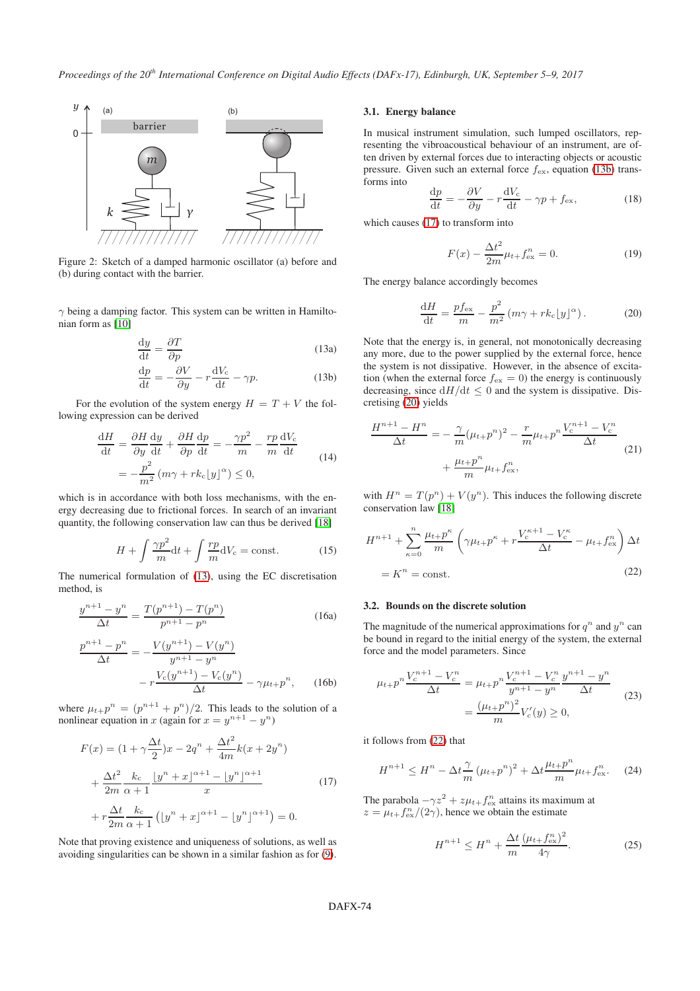<span id="page-2-0"></span>

Figure 2: Sketch of a damped harmonic oscillator (a) before and (b) during contact with the barrier.

 $\gamma$  being a damping factor. This system can be written in Hamiltonian form as [\[10\]](#page-6-9)

<span id="page-2-1"></span>
$$
\frac{dy}{dt} = \frac{\partial T}{\partial p}
$$
 (13a)

$$
\frac{\mathrm{d}p}{\mathrm{d}t} = -\frac{\partial V}{\partial y} - r\frac{\mathrm{d}V_c}{\mathrm{d}t} - \gamma p. \tag{13b}
$$

For the evolution of the system energy  $H = T + V$  the following expression can be derived

$$
\frac{dH}{dt} = \frac{\partial H}{\partial y}\frac{dy}{dt} + \frac{\partial H}{\partial p}\frac{dp}{dt} = -\frac{\gamma p^2}{m} - \frac{rp}{m}\frac{dV_c}{dt}
$$
\n
$$
= -\frac{p^2}{m^2}(m\gamma + rk_c\lfloor y\rfloor^{\alpha}) \le 0,
$$
\n(14)

which is in accordance with both loss mechanisms, with the energy decreasing due to frictional forces. In search of an invariant quantity, the following conservation law can thus be derived [\[18\]](#page-6-17)

$$
H + \int \frac{\gamma p^2}{m} dt + \int \frac{rp}{m} dV_c = \text{const.}
$$
 (15)

The numerical formulation of [\(13\)](#page-2-1), using the EC discretisation method, is

$$
\frac{y^{n+1} - y^n}{\Delta t} = \frac{T(p^{n+1}) - T(p^n)}{p^{n+1} - p^n}
$$
 (16a)

$$
\frac{p^{n+1} - p^n}{\Delta t} = -\frac{V(y^{n+1}) - V(y^n)}{y^{n+1} - y^n} - r\frac{V_c(y^{n+1}) - V_c(y^n)}{\Delta t} - \gamma \mu_{t+1} p^n, \qquad (16b)
$$

where  $\mu_{t+}p^n = (p^{n+1} + p^n)/2$ . This leads to the solution of a nonlinear equation in x (again for  $x = y^{n+1} - y^n$ )

<span id="page-2-3"></span>
$$
F(x) = (1 + \gamma \frac{\Delta t}{2})x - 2q^{n} + \frac{\Delta t^{2}}{4m}k(x + 2y^{n})
$$
  
+ 
$$
\frac{\Delta t^{2}}{2m} \frac{k_{c}}{\alpha + 1} \frac{|y^{n} + x|^{\alpha + 1} - |y^{n}|^{\alpha + 1}}{x}
$$
  
+ 
$$
r \frac{\Delta t}{2m} \frac{k_{c}}{\alpha + 1} (|y^{n} + x|^{\alpha + 1} - |y^{n}|^{\alpha + 1}) = 0.
$$
 (17)

Note that proving existence and uniqueness of solutions, as well as avoiding singularities can be shown in a similar fashion as for [\(9\)](#page-1-2).

## 3.1. Energy balance

In musical instrument simulation, such lumped oscillators, representing the vibroacoustical behaviour of an instrument, are often driven by external forces due to interacting objects or acoustic pressure. Given such an external force  $f_{\text{ex}}$ , equation [\(13b\)](#page-2-2) transforms into

$$
\frac{\mathrm{d}p}{\mathrm{d}t} = -\frac{\partial V}{\partial y} - r\frac{\mathrm{d}V_{\mathrm{c}}}{\mathrm{d}t} - \gamma p + f_{\mathrm{ex}},\tag{18}
$$

which causes [\(17\)](#page-2-3) to transform into

<span id="page-2-6"></span>
$$
F(x) - \frac{\Delta t^2}{2m} \mu_{t+} f_{\text{ex}}^n = 0.
$$
 (19)

The energy balance accordingly becomes

<span id="page-2-4"></span>
$$
\frac{\mathrm{d}H}{\mathrm{d}t} = \frac{pf_{\mathrm{ex}}}{m} - \frac{p^2}{m^2} \left( m\gamma + rk_{\mathrm{c}}[y]^\alpha \right). \tag{20}
$$

<span id="page-2-2"></span>Note that the energy is, in general, not monotonically decreasing any more, due to the power supplied by the external force, hence the system is not dissipative. However, in the absence of excitation (when the external force  $f_{\text{ex}} = 0$ ) the energy is continuously decreasing, since  $dH/dt \leq 0$  and the system is dissipative. Discretising [\(20\)](#page-2-4) yields

$$
\frac{H^{n+1} - H^n}{\Delta t} = -\frac{\gamma}{m} (\mu_{t+} p^n)^2 - \frac{r}{m} \mu_{t+} p^n \frac{V_c^{n+1} - V_c^n}{\Delta t}
$$
\n
$$
+ \frac{\mu_{t+} p^n}{m} \mu_{t+} f_{\text{ex}}^n, \tag{21}
$$

with  $H^n = T(p^n) + V(y^n)$ . This induces the following discrete conservation law [\[18\]](#page-6-17)

<span id="page-2-5"></span>
$$
H^{n+1} + \sum_{\kappa=0}^{n} \frac{\mu_{t+} p^{\kappa}}{m} \left( \gamma \mu_{t+} p^{\kappa} + r \frac{V_c^{\kappa+1} - V_c^{\kappa}}{\Delta t} - \mu_{t+} f_{\text{ex}}^n \right) \Delta t
$$
  
=  $K^n$  = const. (22)

### 3.2. Bounds on the discrete solution

The magnitude of the numerical approximations for  $q^n$  and  $y^n$  can be bound in regard to the initial energy of the system, the external force and the model parameters. Since

$$
\mu_{t+}p^{n}\frac{V_c^{n+1} - V_c^n}{\Delta t} = \mu_{t+}p^{n}\frac{V_c^{n+1} - V_c^n}{y^{n+1} - y^n}\frac{y^{n+1} - y^n}{\Delta t}
$$
\n
$$
= \frac{(\mu_{t+}p^{n})^2}{m}V_c'(y) \ge 0,
$$
\n(23)

it follows from [\(22\)](#page-2-5) that

$$
H^{n+1} \le H^n - \Delta t \frac{\gamma}{m} \left(\mu_{t+1} p^n\right)^2 + \Delta t \frac{\mu_{t+1} p^n}{m} \mu_{t+1} f^n_{\text{ex}}.\tag{24}
$$

The parabola  $-\gamma z^2 + z\mu_{t}$  attains its maximum at  $z = \mu_{t} f_{\text{ex}}^n/(2\gamma)$ , hence we obtain the estimate

$$
H^{n+1} \le H^n + \frac{\Delta t}{m} \frac{(\mu_{t+} f_{\text{ex}}^n)^2}{4\gamma}.
$$
 (25)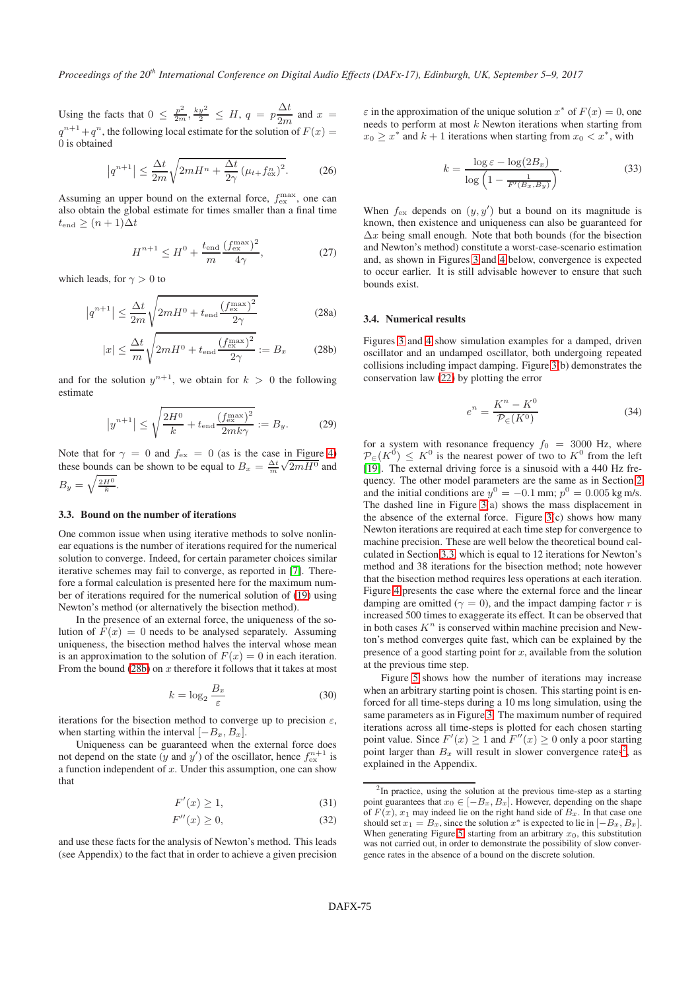Using the facts that  $0 \leq \frac{p^2}{2m}, \frac{ky^2}{2} \leq H, q = p \frac{\Delta t}{2m}$  $\frac{2\pi}{2m}$  and  $x =$  $q^{n+1}+q^n$ , the following local estimate for the solution of  $F(x) =$ 0 is obtained

$$
\left|q^{n+1}\right| \le \frac{\Delta t}{2m} \sqrt{2mH^n + \frac{\Delta t}{2\gamma} \left(\mu_{t+} f_{\text{ex}}^n\right)^2}.
$$
 (26)

Assuming an upper bound on the external force,  $f_{\text{ex}}^{\text{max}}$ , one can also obtain the global estimate for times smaller than a final time  $t_{end} \geq (n+1)\Delta t$ 

$$
H^{n+1} \leq H^0 + \frac{t_{\text{end}}}{m} \frac{\left(f_{\text{ex}}^{\text{max}}\right)^2}{4\gamma},\tag{27}
$$

which leads, for  $\gamma > 0$  to

$$
\left|q^{n+1}\right| \le \frac{\Delta t}{2m} \sqrt{2mH^0 + t_{\text{end}} \frac{\left(f_{\text{ex}}^{\text{max}}\right)^2}{2\gamma}}
$$
(28a)

$$
|x| \le \frac{\Delta t}{m} \sqrt{2mH^0 + t_{\text{end}} \frac{\left(f_{\text{ex}}^{\text{max}}\right)^2}{2\gamma}} := B_x \tag{28b}
$$

and for the solution  $y^{n+1}$ , we obtain for  $k > 0$  the following estimate

$$
\left|y^{n+1}\right| \le \sqrt{\frac{2H^0}{k} + t_{\text{end}} \frac{\left(f_{\text{ex}}^{\text{max}}\right)^2}{2mk\gamma}} := B_y. \tag{29}
$$

Note that for  $\gamma = 0$  and  $f_{\text{ex}} = 0$  (as is the case in Figure [4\)](#page-4-1) these bounds can be shown to be equal to  $B_x = \frac{\Delta t}{m} \sqrt{2mH^0}$  and  $B_y = \sqrt{\frac{2H^0}{k}}.$ 

#### <span id="page-3-0"></span>3.3. Bound on the number of iterations

One common issue when using iterative methods to solve nonlinear equations is the number of iterations required for the numerical solution to converge. Indeed, for certain parameter choices similar iterative schemes may fail to converge, as reported in [\[7\]](#page-6-6). Therefore a formal calculation is presented here for the maximum number of iterations required for the numerical solution of [\(19\)](#page-2-6) using Newton's method (or alternatively the bisection method).

In the presence of an external force, the uniqueness of the solution of  $F(x) = 0$  needs to be analysed separately. Assuming uniqueness, the bisection method halves the interval whose mean is an approximation to the solution of  $F(x) = 0$  in each iteration. From the bound [\(28b\)](#page-3-1) on  $x$  therefore it follows that it takes at most

$$
k = \log_2 \frac{B_x}{\varepsilon} \tag{30}
$$

iterations for the bisection method to converge up to precision  $\varepsilon$ , when starting within the interval  $[-B_x, B_x]$ .

Uniqueness can be guaranteed when the external force does not depend on the state  $(y \text{ and } y')$  of the oscillator, hence  $f_{\text{ex}}^{n+1}$  is a function independent of  $x$ . Under this assumption, one can show that

$$
F'(x) \ge 1,\tag{31}
$$

$$
F''(x) \ge 0,\t\t(32)
$$

and use these facts for the analysis of Newton's method. This leads (see Appendix) to the fact that in order to achieve a given precision

 $\varepsilon$  in the approximation of the unique solution  $x^*$  of  $F(x) = 0$ , one needs to perform at most  $k$  Newton iterations when starting from  $x_0 \geq x^*$  and  $k+1$  iterations when starting from  $x_0 < x^*$ , with

$$
k = \frac{\log \varepsilon - \log(2B_x)}{\log \left(1 - \frac{1}{F'(B_x, B_y)}\right)}.
$$
\n(33)

When  $f_{\text{ex}}$  depends on  $(y, y')$  but a bound on its magnitude is known, then existence and uniqueness can also be guaranteed for  $\Delta x$  being small enough. Note that both bounds (for the bisection and Newton's method) constitute a worst-case-scenario estimation and, as shown in Figures [3](#page-4-2) and [4](#page-4-1) below, convergence is expected to occur earlier. It is still advisable however to ensure that such bounds exist.

#### 3.4. Numerical results

<span id="page-3-1"></span>Figures [3](#page-4-2) and [4](#page-4-1) show simulation examples for a damped, driven oscillator and an undamped oscillator, both undergoing repeated collisions including impact damping. Figure [3\(](#page-4-2)b) demonstrates the conservation law [\(22\)](#page-2-5) by plotting the error

$$
e^n = \frac{K^n - K^0}{\mathcal{P}_{\in}(K^0)}\tag{34}
$$

<span id="page-3-5"></span>for a system with resonance frequency  $f_0 = 3000$  Hz, where  $\mathcal{P}_{\in}(K^0) \leq K^0$  is the nearest power of two to  $K^0$  from the left [\[19\]](#page-6-18). The external driving force is a sinusoid with a 440 Hz frequency. The other model parameters are the same as in Section [2](#page-0-0) and the initial conditions are  $y^0 = -0.1$  mm;  $p^0 = 0.005$  kg m/s. The dashed line in Figure  $3(a)$  shows the mass displacement in the absence of the external force. Figure [3\(](#page-4-2)c) shows how many Newton iterations are required at each time step for convergence to machine precision. These are well below the theoretical bound calculated in Section [3.3,](#page-3-0) which is equal to 12 iterations for Newton's method and 38 iterations for the bisection method; note however that the bisection method requires less operations at each iteration. Figure [4](#page-4-1) presents the case where the external force and the linear damping are omitted ( $\gamma = 0$ ), and the impact damping factor r is increased 500 times to exaggerate its effect. It can be observed that in both cases  $K<sup>n</sup>$  is conserved within machine precision and Newton's method converges quite fast, which can be explained by the presence of a good starting point for  $x$ , available from the solution at the previous time step.

Figure [5](#page-4-3) shows how the number of iterations may increase when an arbitrary starting point is chosen. This starting point is enforced for all time-steps during a 10 ms long simulation, using the same parameters as in Figure [3.](#page-4-2) The maximum number of required iterations across all time-steps is plotted for each chosen starting point value. Since  $F'(x) \ge 1$  and  $F''(x) \ge 0$  only a poor starting point larger than  $B_x$  will result in slower convergence rates<sup>[2](#page-3-2)</sup>, as explained in the Appendix.

<span id="page-3-4"></span><span id="page-3-3"></span><span id="page-3-2"></span><sup>&</sup>lt;sup>2</sup>In practice, using the solution at the previous time-step as a starting point guarantees that  $x_0 \in [-B_x, B_x]$ . However, depending on the shape of  $F(x)$ ,  $x_1$  may indeed lie on the right hand side of  $B_x$ . In that case one should set  $x_1 = B_x$ , since the solution  $x^*$  is expected to lie in  $[-B_x, B_x]$ . When generating Figure [5,](#page-4-3) starting from an arbitrary  $x_0$ , this substitution was not carried out, in order to demonstrate the possibility of slow convergence rates in the absence of a bound on the discrete solution.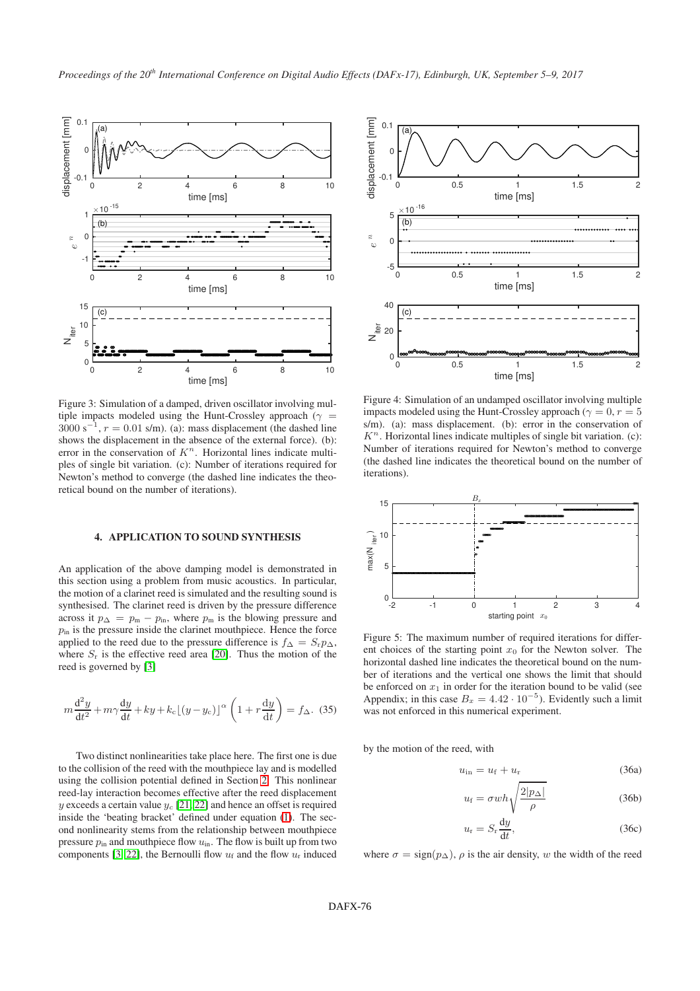<span id="page-4-2"></span>

Figure 3: Simulation of a damped, driven oscillator involving multiple impacts modeled using the Hunt-Crossley approach ( $\gamma$  =  $3000 \text{ s}^{-1}$ ,  $r = 0.01 \text{ s/m}$ . (a): mass displacement (the dashed line shows the displacement in the absence of the external force). (b): error in the conservation of  $K<sup>n</sup>$ . Horizontal lines indicate multiples of single bit variation. (c): Number of iterations required for Newton's method to converge (the dashed line indicates the theoretical bound on the number of iterations).

### <span id="page-4-0"></span>4. APPLICATION TO SOUND SYNTHESIS

An application of the above damping model is demonstrated in this section using a problem from music acoustics. In particular, the motion of a clarinet reed is simulated and the resulting sound is synthesised. The clarinet reed is driven by the pressure difference across it  $p_{\Delta} = p_m - p_m$ , where  $p_m$  is the blowing pressure and  $p<sub>in</sub>$  is the pressure inside the clarinet mouthpiece. Hence the force applied to the reed due to the pressure difference is  $f_{\Delta} = S_{r} p_{\Delta}$ , where  $S_r$  is the effective reed area [\[20\]](#page-6-19). Thus the motion of the reed is governed by [\[3\]](#page-6-2)

$$
m\frac{\mathrm{d}^2 y}{\mathrm{d}t^2} + m\gamma \frac{\mathrm{d}y}{\mathrm{d}t} + ky + k_c \left[ (y - y_c) \right]^\alpha \left( 1 + r \frac{\mathrm{d}y}{\mathrm{d}t} \right) = f_\Delta. \tag{35}
$$

Two distinct nonlinearities take place here. The first one is due to the collision of the reed with the mouthpiece lay and is modelled using the collision potential defined in Section [2.](#page-0-0) This nonlinear reed-lay interaction becomes effective after the reed displacement y exceeds a certain value  $y_c$  [\[21,](#page-6-20) [22\]](#page-6-21) and hence an offset is required inside the 'beating bracket' defined under equation [\(1\)](#page-0-4). The second nonlinearity stems from the relationship between mouthpiece pressure  $p_{in}$  and mouthpiece flow  $u_{in}$ . The flow is built up from two components [\[3,](#page-6-2) [22\]](#page-6-21), the Bernoulli flow  $u_f$  and the flow  $u_r$  induced

<span id="page-4-1"></span>

Figure 4: Simulation of an undamped oscillator involving multiple impacts modeled using the Hunt-Crossley approach ( $\gamma = 0, r = 5$ ) s/m). (a): mass displacement. (b): error in the conservation of  $K<sup>n</sup>$ . Horizontal lines indicate multiples of single bit variation. (c): Number of iterations required for Newton's method to converge (the dashed line indicates the theoretical bound on the number of iterations).

<span id="page-4-3"></span>

Figure 5: The maximum number of required iterations for different choices of the starting point  $x_0$  for the Newton solver. The horizontal dashed line indicates the theoretical bound on the number of iterations and the vertical one shows the limit that should be enforced on  $x_1$  in order for the iteration bound to be valid (see Appendix; in this case  $B_x = 4.42 \cdot 10^{-5}$ ). Evidently such a limit was not enforced in this numerical experiment.

by the motion of the reed, with

$$
u_{\rm in} = u_{\rm f} + u_{\rm r} \tag{36a}
$$

$$
u_{\rm f} = \sigma w h \sqrt{\frac{2|p_{\Delta}|}{\rho}} \tag{36b}
$$

$$
u_{\rm r} = S_{\rm r} \frac{\mathrm{d}y}{\mathrm{d}t},\tag{36c}
$$

where  $\sigma = \text{sign}(p\Delta)$ ,  $\rho$  is the air density, w the width of the reed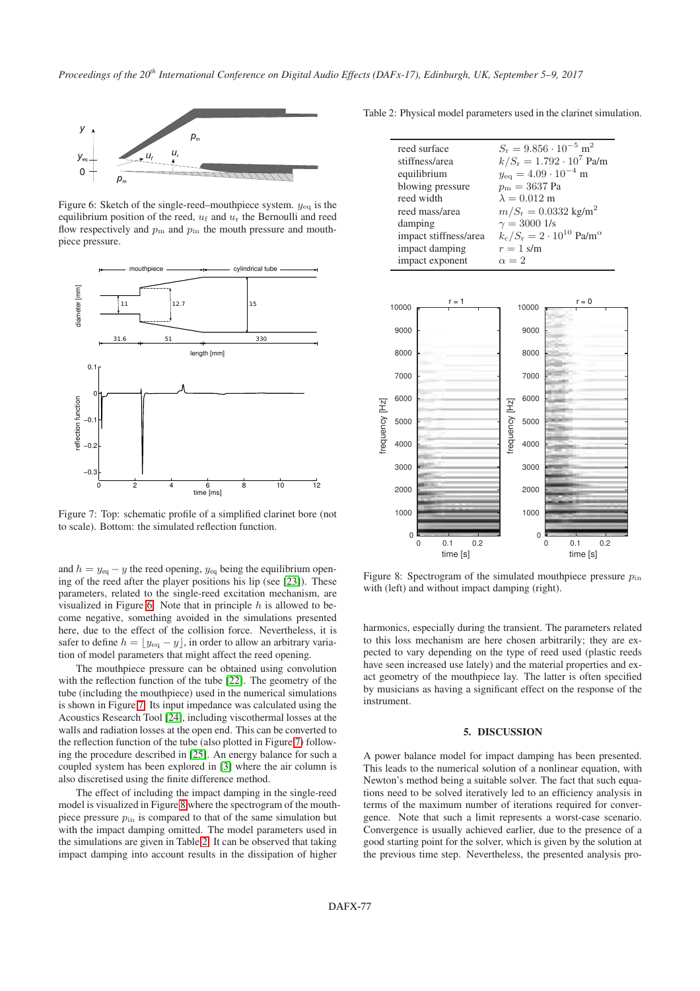<span id="page-5-1"></span>

Figure 6: Sketch of the single-reed–mouthpiece system.  $y_{eq}$  is the equilibrium position of the reed,  $u_f$  and  $u_r$  the Bernoulli and reed flow respectively and  $p<sub>m</sub>$  and  $p<sub>in</sub>$  the mouth pressure and mouthpiece pressure.

<span id="page-5-2"></span>

Figure 7: Top: schematic profile of a simplified clarinet bore (not to scale). Bottom: the simulated reflection function.

and  $h = y_{eq} - y$  the reed opening,  $y_{eq}$  being the equilibrium opening of the reed after the player positions his lip (see [\[23\]](#page-7-0)). These parameters, related to the single-reed excitation mechanism, are visualized in Figure [6.](#page-5-1) Note that in principle  $h$  is allowed to become negative, something avoided in the simulations presented here, due to the effect of the collision force. Nevertheless, it is safer to define  $h = \lfloor y_{eq} - y \rfloor$ , in order to allow an arbitrary variation of model parameters that might affect the reed opening.

The mouthpiece pressure can be obtained using convolution with the reflection function of the tube [\[22\]](#page-6-21). The geometry of the tube (including the mouthpiece) used in the numerical simulations is shown in Figure [7.](#page-5-2) Its input impedance was calculated using the Acoustics Research Tool [\[24\]](#page-7-1), including viscothermal losses at the walls and radiation losses at the open end. This can be converted to the reflection function of the tube (also plotted in Figure [7\)](#page-5-2) following the procedure described in [\[25\]](#page-7-2). An energy balance for such a coupled system has been explored in [\[3\]](#page-6-2) where the air column is also discretised using the finite difference method.

The effect of including the impact damping in the single-reed model is visualized in Figure [8](#page-5-3) where the spectrogram of the mouthpiece pressure  $p_{\text{in}}$  is compared to that of the same simulation but with the impact damping omitted. The model parameters used in the simulations are given in Table [2.](#page-5-4) It can be observed that taking impact damping into account results in the dissipation of higher

<span id="page-5-4"></span>Table 2: Physical model parameters used in the clarinet simulation.

| reed surface          | $S_r = 9.856 \cdot 10^{-5}$ m <sup>2</sup>                      |
|-----------------------|-----------------------------------------------------------------|
| stiffness/area        | $k/S_r = 1.792 \cdot 10^7$ Pa/m                                 |
| equilibrium           | $y_{\text{eq}} = 4.09 \cdot 10^{-4}$ m                          |
| blowing pressure      | $p_{\rm m} = 3637 \text{ Pa}$                                   |
| reed width            | $\lambda = 0.012$ m                                             |
| reed mass/area        | $m/S_{\rm r} = 0.0332$ kg/m <sup>2</sup>                        |
| damping               | $\gamma = 3000$ 1/s                                             |
| impact stiffness/area | $k_c/S_r = 2 \cdot 10^{10}$ Pa/m <sup><math>\alpha</math></sup> |
| impact damping        | $r=1$ s/m                                                       |
| impact exponent       | $\alpha = 2$                                                    |

<span id="page-5-3"></span>

Figure 8: Spectrogram of the simulated mouthpiece pressure  $p_{\text{in}}$ with (left) and without impact damping (right).

harmonics, especially during the transient. The parameters related to this loss mechanism are here chosen arbitrarily; they are expected to vary depending on the type of reed used (plastic reeds have seen increased use lately) and the material properties and exact geometry of the mouthpiece lay. The latter is often specified by musicians as having a significant effect on the response of the instrument.

#### 5. DISCUSSION

<span id="page-5-0"></span>A power balance model for impact damping has been presented. This leads to the numerical solution of a nonlinear equation, with Newton's method being a suitable solver. The fact that such equations need to be solved iteratively led to an efficiency analysis in terms of the maximum number of iterations required for convergence. Note that such a limit represents a worst-case scenario. Convergence is usually achieved earlier, due to the presence of a good starting point for the solver, which is given by the solution at the previous time step. Nevertheless, the presented analysis pro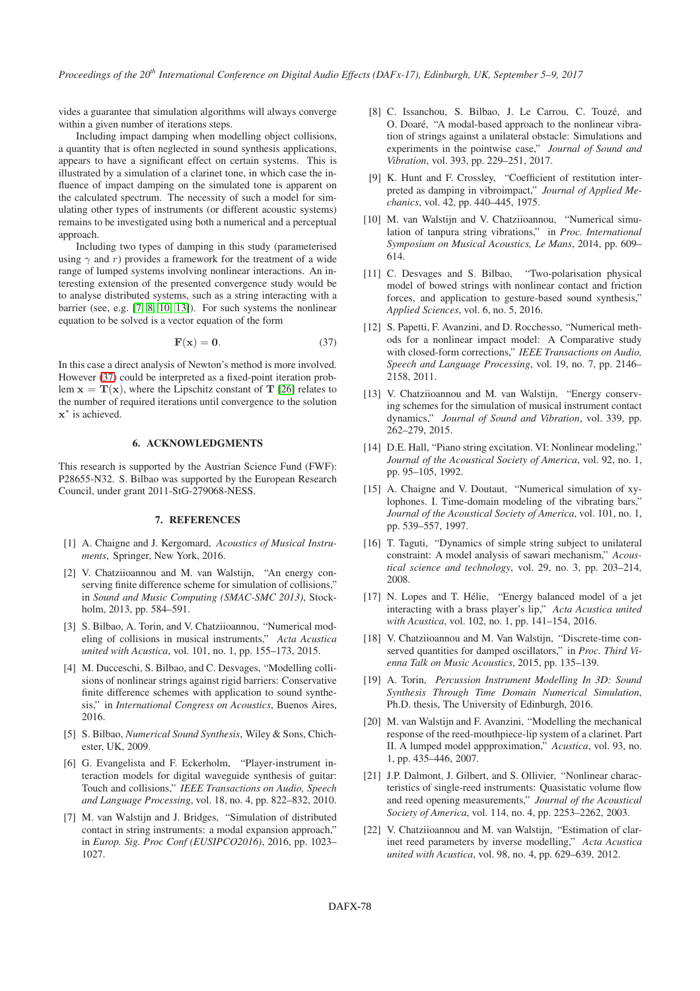vides a guarantee that simulation algorithms will always converge within a given number of iterations steps.

Including impact damping when modelling object collisions, a quantity that is often neglected in sound synthesis applications, appears to have a significant effect on certain systems. This is illustrated by a simulation of a clarinet tone, in which case the influence of impact damping on the simulated tone is apparent on the calculated spectrum. The necessity of such a model for simulating other types of instruments (or different acoustic systems) remains to be investigated using both a numerical and a perceptual approach.

Including two types of damping in this study (parameterised using  $\gamma$  and r) provides a framework for the treatment of a wide range of lumped systems involving nonlinear interactions. An interesting extension of the presented convergence study would be to analyse distributed systems, such as a string interacting with a barrier (see, e.g. [\[7,](#page-6-6) [8,](#page-6-7) [10,](#page-6-9) [13\]](#page-6-12)). For such systems the nonlinear equation to be solved is a vector equation of the form

<span id="page-6-22"></span>
$$
\mathbf{F}(\mathbf{x}) = \mathbf{0}.\tag{37}
$$

In this case a direct analysis of Newton's method is more involved. However [\(37\)](#page-6-22) could be interpreted as a fixed-point iteration problem  $x = T(x)$ , where the Lipschitz constant of T [\[26\]](#page-7-3) relates to the number of required iterations until convergence to the solution x ∗ is achieved.

## 6. ACKNOWLEDGMENTS

This research is supported by the Austrian Science Fund (FWF): P28655-N32. S. Bilbao was supported by the European Research Council, under grant 2011-StG-279068-NESS.

### 7. REFERENCES

- <span id="page-6-0"></span>[1] A. Chaigne and J. Kergomard, *Acoustics of Musical Instruments*, Springer, New York, 2016.
- <span id="page-6-1"></span>[2] V. Chatziioannou and M. van Walstijn, "An energy conserving finite difference scheme for simulation of collisions," in *Sound and Music Computing (SMAC-SMC 2013)*, Stockholm, 2013, pp. 584–591.
- <span id="page-6-2"></span>[3] S. Bilbao, A. Torin, and V. Chatziioannou, "Numerical modeling of collisions in musical instruments," *Acta Acustica united with Acustica*, vol. 101, no. 1, pp. 155–173, 2015.
- <span id="page-6-3"></span>[4] M. Ducceschi, S. Bilbao, and C. Desvages, "Modelling collisions of nonlinear strings against rigid barriers: Conservative finite difference schemes with application to sound synthesis," in *International Congress on Acoustics*, Buenos Aires, 2016.
- <span id="page-6-4"></span>[5] S. Bilbao, *Numerical Sound Synthesis*, Wiley & Sons, Chichester, UK, 2009.
- <span id="page-6-5"></span>[6] G. Evangelista and F. Eckerholm, "Player-instrument interaction models for digital waveguide synthesis of guitar: Touch and collisions," *IEEE Transactions on Audio, Speech and Language Processing*, vol. 18, no. 4, pp. 822–832, 2010.
- <span id="page-6-6"></span>[7] M. van Walstijn and J. Bridges, "Simulation of distributed contact in string instruments: a modal expansion approach," in *Europ. Sig. Proc Conf (EUSIPCO2016)*, 2016, pp. 1023– 1027.
- <span id="page-6-7"></span>[8] C. Issanchou, S. Bilbao, J. Le Carrou, C. Touzé, and O. Doaré, "A modal-based approach to the nonlinear vibration of strings against a unilateral obstacle: Simulations and experiments in the pointwise case," *Journal of Sound and Vibration*, vol. 393, pp. 229–251, 2017.
- <span id="page-6-8"></span>[9] K. Hunt and F. Crossley, "Coefficient of restitution interpreted as damping in vibroimpact," *Journal of Applied Mechanics*, vol. 42, pp. 440–445, 1975.
- <span id="page-6-9"></span>[10] M. van Walstijn and V. Chatziioannou, "Numerical simulation of tanpura string vibrations," in *Proc. International Symposium on Musical Acoustics, Le Mans*, 2014, pp. 609– 614.
- <span id="page-6-10"></span>[11] C. Desvages and S. Bilbao, "Two-polarisation physical model of bowed strings with nonlinear contact and friction forces, and application to gesture-based sound synthesis," *Applied Sciences*, vol. 6, no. 5, 2016.
- <span id="page-6-11"></span>[12] S. Papetti, F. Avanzini, and D. Rocchesso, "Numerical methods for a nonlinear impact model: A Comparative study with closed-form corrections," *IEEE Transactions on Audio, Speech and Language Processing*, vol. 19, no. 7, pp. 2146– 2158, 2011.
- <span id="page-6-12"></span>[13] V. Chatziioannou and M. van Walstijn, "Energy conserving schemes for the simulation of musical instrument contact dynamics," *Journal of Sound and Vibration*, vol. 339, pp. 262–279, 2015.
- <span id="page-6-13"></span>[14] D.E. Hall, "Piano string excitation. VI: Nonlinear modeling," *Journal of the Acoustical Society of America*, vol. 92, no. 1, pp. 95–105, 1992.
- <span id="page-6-14"></span>[15] A. Chaigne and V. Doutaut, "Numerical simulation of xylophones. I. Time-domain modeling of the vibrating bars," *Journal of the Acoustical Society of America*, vol. 101, no. 1, pp. 539–557, 1997.
- <span id="page-6-15"></span>[16] T. Taguti, "Dynamics of simple string subject to unilateral constraint: A model analysis of sawari mechanism," *Acoustical science and technology*, vol. 29, no. 3, pp. 203–214, 2008.
- <span id="page-6-16"></span>[17] N. Lopes and T. Hélie, "Energy balanced model of a jet interacting with a brass player's lip," *Acta Acustica united with Acustica*, vol. 102, no. 1, pp. 141–154, 2016.
- <span id="page-6-17"></span>[18] V. Chatziioannou and M. Van Walstijn, "Discrete-time conserved quantities for damped oscillators," in *Proc. Third Vienna Talk on Music Acoustics*, 2015, pp. 135–139.
- <span id="page-6-18"></span>[19] A. Torin, *Percussion Instrument Modelling In 3D: Sound Synthesis Through Time Domain Numerical Simulation*, Ph.D. thesis, The University of Edinburgh, 2016.
- <span id="page-6-19"></span>[20] M. van Walstijn and F. Avanzini, "Modelling the mechanical response of the reed-mouthpiece-lip system of a clarinet. Part II. A lumped model appproximation," *Acustica*, vol. 93, no. 1, pp. 435–446, 2007.
- <span id="page-6-20"></span>[21] J.P. Dalmont, J. Gilbert, and S. Ollivier, "Nonlinear characteristics of single-reed instruments: Quasistatic volume flow and reed opening measurements," *Journal of the Acoustical Society of America*, vol. 114, no. 4, pp. 2253–2262, 2003.
- <span id="page-6-21"></span>[22] V. Chatziioannou and M. van Walstijn, "Estimation of clarinet reed parameters by inverse modelling," *Acta Acustica united with Acustica*, vol. 98, no. 4, pp. 629–639, 2012.